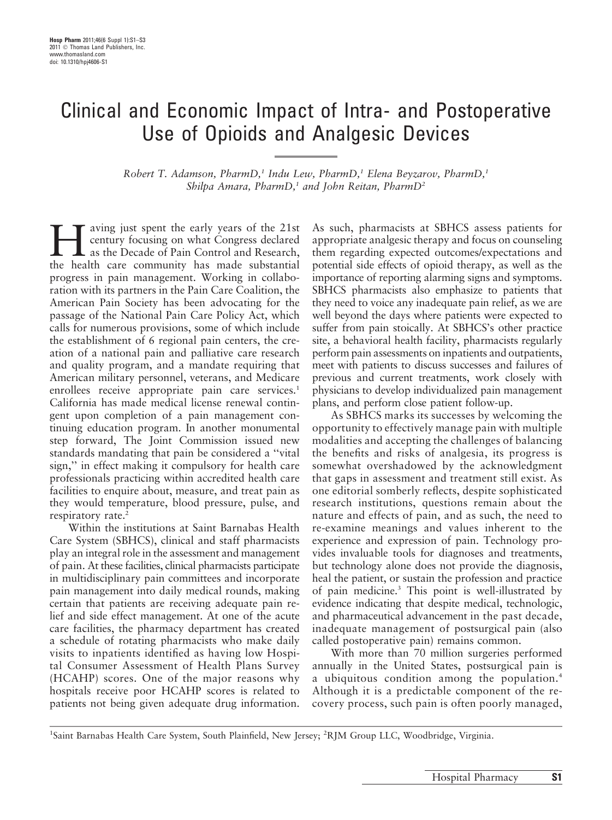## Clinical and Economic Impact of Intra- and Postoperative Use of Opioids and Analgesic Devices

Robert T. Adamson, PharmD,<sup>1</sup> Indu Lew, PharmD,<sup>1</sup> Elena Beyzarov, PharmD,<sup>1</sup> Shilpa Amara, PharmD,<sup>1</sup> and John Reitan, PharmD<sup>2</sup>

aving just spent the early years of the 21st century focusing on what Congress declared as the Decade of Pain Control and Research, the health care community has made substantial progress in pain management. Working in collaboration with its partners in the Pain Care Coalition, the American Pain Society has been advocating for the passage of the National Pain Care Policy Act, which calls for numerous provisions, some of which include the establishment of 6 regional pain centers, the creation of a national pain and palliative care research and quality program, and a mandate requiring that American military personnel, veterans, and Medicare enrollees receive appropriate pain care services.<sup>1</sup> California has made medical license renewal contingent upon completion of a pain management continuing education program. In another monumental step forward, The Joint Commission issued new standards mandating that pain be considered a ''vital sign,'' in effect making it compulsory for health care professionals practicing within accredited health care facilities to enquire about, measure, and treat pain as they would temperature, blood pressure, pulse, and respiratory rate.<sup>2</sup>

Within the institutions at Saint Barnabas Health Care System (SBHCS), clinical and staff pharmacists play an integral role in the assessment and management of pain. At these facilities, clinical pharmacists participate in multidisciplinary pain committees and incorporate pain management into daily medical rounds, making certain that patients are receiving adequate pain relief and side effect management. At one of the acute care facilities, the pharmacy department has created a schedule of rotating pharmacists who make daily visits to inpatients identified as having low Hospital Consumer Assessment of Health Plans Survey (HCAHP) scores. One of the major reasons why hospitals receive poor HCAHP scores is related to patients not being given adequate drug information.

As such, pharmacists at SBHCS assess patients for appropriate analgesic therapy and focus on counseling them regarding expected outcomes/expectations and potential side effects of opioid therapy, as well as the importance of reporting alarming signs and symptoms. SBHCS pharmacists also emphasize to patients that they need to voice any inadequate pain relief, as we are well beyond the days where patients were expected to suffer from pain stoically. At SBHCS's other practice site, a behavioral health facility, pharmacists regularly perform pain assessments on inpatients and outpatients, meet with patients to discuss successes and failures of previous and current treatments, work closely with physicians to develop individualized pain management plans, and perform close patient follow-up.

As SBHCS marks its successes by welcoming the opportunity to effectively manage pain with multiple modalities and accepting the challenges of balancing the benefits and risks of analgesia, its progress is somewhat overshadowed by the acknowledgment that gaps in assessment and treatment still exist. As one editorial somberly reflects, despite sophisticated research institutions, questions remain about the nature and effects of pain, and as such, the need to re-examine meanings and values inherent to the experience and expression of pain. Technology provides invaluable tools for diagnoses and treatments, but technology alone does not provide the diagnosis, heal the patient, or sustain the profession and practice of pain medicine.3 This point is well-illustrated by evidence indicating that despite medical, technologic, and pharmaceutical advancement in the past decade, inadequate management of postsurgical pain (also called postoperative pain) remains common.

With more than 70 million surgeries performed annually in the United States, postsurgical pain is a ubiquitous condition among the population.<sup>4</sup> Although it is a predictable component of the recovery process, such pain is often poorly managed,

<sup>1</sup>Saint Barnabas Health Care System, South Plainfield, New Jersey; <sup>2</sup>RJM Group LLC, Woodbridge, Virginia.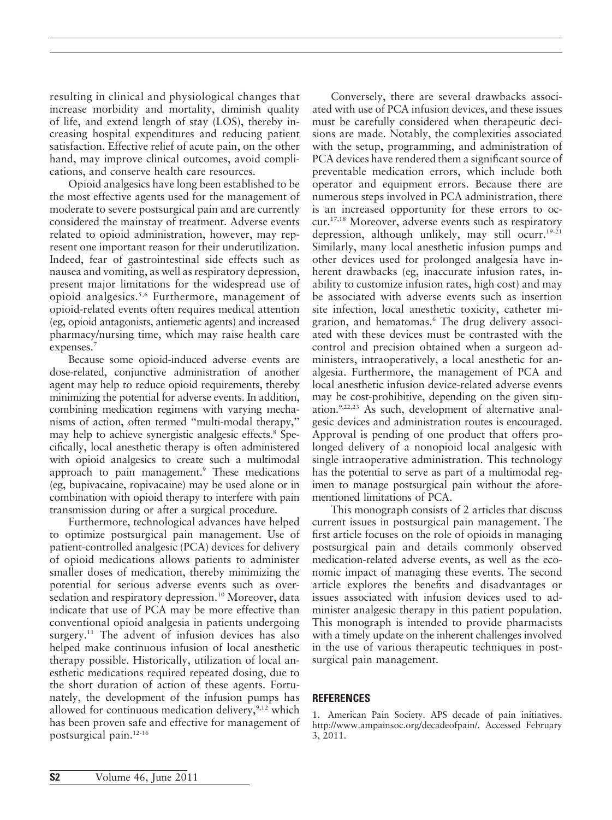resulting in clinical and physiological changes that increase morbidity and mortality, diminish quality of life, and extend length of stay (LOS), thereby increasing hospital expenditures and reducing patient satisfaction. Effective relief of acute pain, on the other hand, may improve clinical outcomes, avoid complications, and conserve health care resources.

Opioid analgesics have long been established to be the most effective agents used for the management of moderate to severe postsurgical pain and are currently considered the mainstay of treatment. Adverse events related to opioid administration, however, may represent one important reason for their underutilization. Indeed, fear of gastrointestinal side effects such as nausea and vomiting, as well as respiratory depression, present major limitations for the widespread use of opioid analgesics.5,6 Furthermore, management of opioid-related events often requires medical attention (eg, opioid antagonists, antiemetic agents) and increased pharmacy/nursing time, which may raise health care expenses.<sup>7</sup>

Because some opioid-induced adverse events are dose-related, conjunctive administration of another agent may help to reduce opioid requirements, thereby minimizing the potential for adverse events. In addition, combining medication regimens with varying mechanisms of action, often termed ''multi-modal therapy,'' may help to achieve synergistic analgesic effects.<sup>8</sup> Specifically, local anesthetic therapy is often administered with opioid analgesics to create such a multimodal approach to pain management.<sup>9</sup> These medications (eg, bupivacaine, ropivacaine) may be used alone or in combination with opioid therapy to interfere with pain transmission during or after a surgical procedure.

Furthermore, technological advances have helped to optimize postsurgical pain management. Use of patient-controlled analgesic (PCA) devices for delivery of opioid medications allows patients to administer smaller doses of medication, thereby minimizing the potential for serious adverse events such as oversedation and respiratory depression.<sup>10</sup> Moreover, data indicate that use of PCA may be more effective than conventional opioid analgesia in patients undergoing surgery.<sup>11</sup> The advent of infusion devices has also helped make continuous infusion of local anesthetic therapy possible. Historically, utilization of local anesthetic medications required repeated dosing, due to the short duration of action of these agents. Fortunately, the development of the infusion pumps has allowed for continuous medication delivery, $\frac{9,12}{2}$  which has been proven safe and effective for management of postsurgical pain.12-16

Conversely, there are several drawbacks associated with use of PCA infusion devices, and these issues must be carefully considered when therapeutic decisions are made. Notably, the complexities associated with the setup, programming, and administration of PCA devices have rendered them a significant source of preventable medication errors, which include both operator and equipment errors. Because there are numerous steps involved in PCA administration, there is an increased opportunity for these errors to occur.17,18 Moreover, adverse events such as respiratory depression, although unlikely, may still ocurr.<sup>19-21</sup> Similarly, many local anesthetic infusion pumps and other devices used for prolonged analgesia have inherent drawbacks (eg, inaccurate infusion rates, inability to customize infusion rates, high cost) and may be associated with adverse events such as insertion site infection, local anesthetic toxicity, catheter migration, and hematomas.<sup>6</sup> The drug delivery associated with these devices must be contrasted with the control and precision obtained when a surgeon administers, intraoperatively, a local anesthetic for analgesia. Furthermore, the management of PCA and local anesthetic infusion device-related adverse events may be cost-prohibitive, depending on the given situation.9,22,23 As such, development of alternative analgesic devices and administration routes is encouraged. Approval is pending of one product that offers prolonged delivery of a nonopioid local analgesic with single intraoperative administration. This technology has the potential to serve as part of a multimodal regimen to manage postsurgical pain without the aforementioned limitations of PCA.

This monograph consists of 2 articles that discuss current issues in postsurgical pain management. The first article focuses on the role of opioids in managing postsurgical pain and details commonly observed medication-related adverse events, as well as the economic impact of managing these events. The second article explores the benefits and disadvantages or issues associated with infusion devices used to administer analgesic therapy in this patient population. This monograph is intended to provide pharmacists with a timely update on the inherent challenges involved in the use of various therapeutic techniques in postsurgical pain management.

## **REFERENCES**

1. American Pain Society. APS decade of pain initiatives. http://www.ampainsoc.org/decadeofpain/. Accessed February 3, 2011.